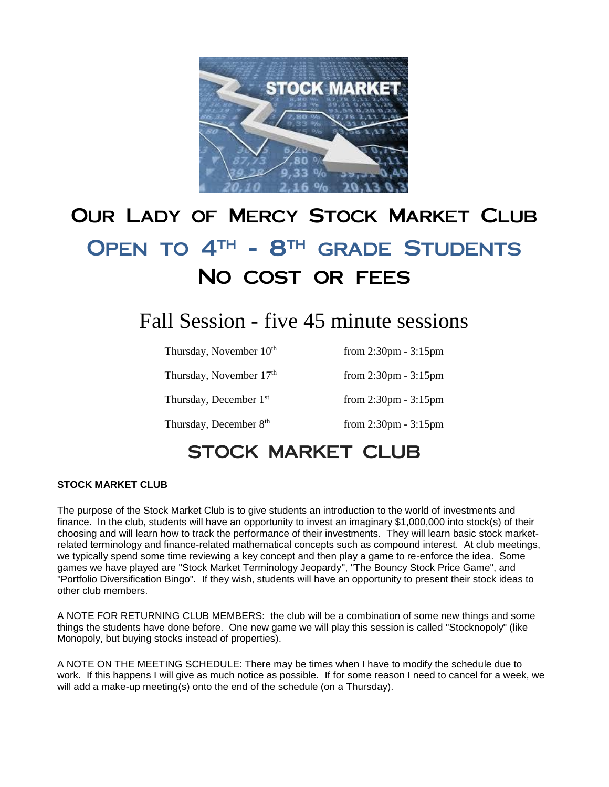

# Our Lady of Mercy Stock Market Club OPEN TO 4<sup>TH</sup> - 8<sup>TH</sup> GRADE STUDENTS No cost or fees

# Fall Session - five 45 minute sessions

| Thursday, November 10 <sup>th</sup> | from $2:30 \text{pm} - 3:15 \text{pm}$ |
|-------------------------------------|----------------------------------------|
| Thursday, November 17 <sup>th</sup> | from $2:30 \text{pm} - 3:15 \text{pm}$ |
| Thursday, December 1 <sup>st</sup>  | from $2:30 \text{pm} - 3:15 \text{pm}$ |
| Thursday, December 8th              | from $2:30 \text{pm} - 3:15 \text{pm}$ |

## STOCK MARKET CLUB

#### **STOCK MARKET CLUB**

The purpose of the Stock Market Club is to give students an introduction to the world of investments and finance. In the club, students will have an opportunity to invest an imaginary \$1,000,000 into stock(s) of their choosing and will learn how to track the performance of their investments. They will learn basic stock marketrelated terminology and finance-related mathematical concepts such as compound interest. At club meetings, we typically spend some time reviewing a key concept and then play a game to re-enforce the idea. Some games we have played are "Stock Market Terminology Jeopardy", "The Bouncy Stock Price Game", and "Portfolio Diversification Bingo". If they wish, students will have an opportunity to present their stock ideas to other club members.

A NOTE FOR RETURNING CLUB MEMBERS: the club will be a combination of some new things and some things the students have done before. One new game we will play this session is called "Stocknopoly" (like Monopoly, but buying stocks instead of properties).

A NOTE ON THE MEETING SCHEDULE: There may be times when I have to modify the schedule due to work. If this happens I will give as much notice as possible. If for some reason I need to cancel for a week, we will add a make-up meeting(s) onto the end of the schedule (on a Thursday).